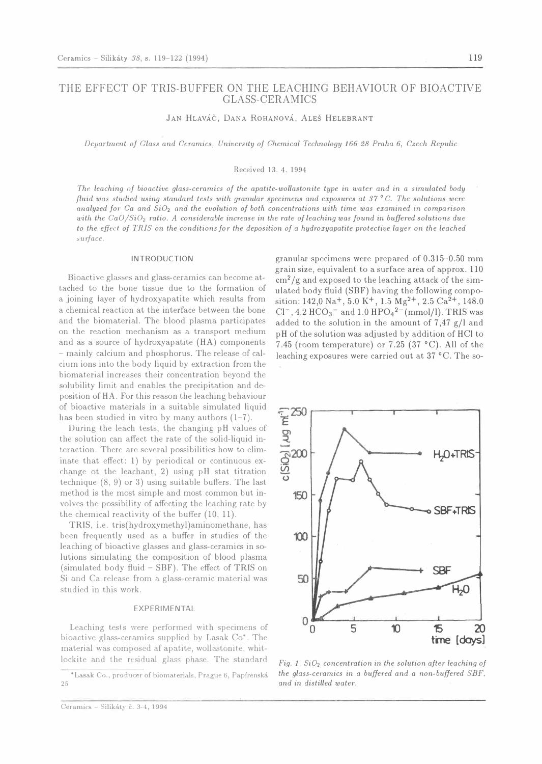# THE EFFECT OF TRIS-BUFFER ON THE LEACHING BEHAVIOUR OF BIOACTIVE GLASS-CERAMICS

JAN HLAVÁČ, DANA ROHANOVÁ, ALEŠ HELEBRANT

*Depar·tment of Glass and Ceramics, University of Chemical Technology 166 28 Praha 6, Czech Repulic* 

#### Received 13. 4. 1994

*The leaching of bioactive glass-ceramics of the apatite-wollastonite type in water and in a simulated body fluid was studied using standard tests with granular specimens and exposures at 37* ° *C. The solutions were cmalyzed for· Ca and* **Si0**2 *and the evolution of both concentrations with time was examined in comparison with the CaO/SiD2 ratio. A considerable increase in the rate of leaching was found in buffered solutions due to the effect of TRJS on the conditions for the deposition of a hydroxyapatite protective layer on the leached surface.* 

## **INTRODUCTION**

Bioactive glasses and glass-ceramics can become attached to the bone tissue due to the formation of a joining layer of hydroxyapatite which results from a chemical reaction at the interface between the bone and the biomaterial. The blood plasma participates on the reaction mechanism as a transport medium and as a source of hydroxyapatite (HA) components - mainly calcium and phosphorus. The release of calcium ions into the body liquid by extraction from the biomaterial increases their concentration beyond the solubility limit and enables the precipitation and deposition of HA. For this reason the leaching behaviour of bioactive materials in a suitable simulated liquid has been studied in vitro by many authors  $(1-7)$ .

During the leach tests, the changing pH values of the solution can affect the rate of the solid-liquid interaction. There are several possibilities how to eliminate that effect: 1) by periodical or continuous exchange ot the leachant, 2) using pH stat titration technique (8, 9) or 3) using suitable buffers. The last method is the most simple and most common but involves the possibility of affecting the leaching rate by the chemical reactivity of the buffer (10, 11).

TRIS, i.e. tris(hydroxymethyl)aminomethane, has been frequently used as a buffer in studies of the leaching of bioactive glasses and glass-ceramics in solutions simulating the composition of blood plasma (simulated body fluid - SBF). The effect of TRIS on Si and Ca release from a glass-ceramic material was studied in this work.

### **EXPERIMENTAL**

Leaching tests were performed with specimens of bioactive glass-ceramics supplied by Lasak Co\*. The material was composed af apatite, wollastonite, whitlockite and the residual glass phase. The standard

granular specimens were prepared of 0.315-0.50 mm grain size, equivalent to a surface area of approx. 110  $\text{cm}^2/\text{g}$  and exposed to the leaching attack of the simulated body fluid (SBF) having the following composition: 142,0 Na<sup>+</sup> , 5.0 K<sup>+</sup> , 1.5 Mg2+ , 2.5 Ca**<sup>2</sup>**<sup>+</sup> , 148.0 grain size, equivalent to a surf<br>cm<sup>2</sup>/g and exposed to the leac<br>ulated body fluid (SBF) havin<br>sition: 142,0 Na<sup>+</sup>, 5.0 K<sup>+</sup>, 1.5<br>Cl<sup>-</sup>, 4.2 HCO<sub>3</sub><sup>-</sup> and 1.0 HPO<sub>4</sub>  $Cl^-$ , 4.2  $HCO_3^-$  and 1.0  $HPO_4^{2-}$  (mmol/l). TRIS was added to the solution in the amount of  $7,47 \text{ g/l}$  and pH of the solution was adjusted by addition of HCl to 7.45 (room temperature) or 7.25 (37 °C). All of the leaching exposures were carried out at 37 °C. The so-



*Fig. 1.* **Si02** *concentration in the solution after leaching of the glass-ceramics in a buffered and a non-buffered SBF, and in distilled water.* 

<sup>\*</sup>Lasak Co., producer of biomaterials, Prague 6, Papfrenska 25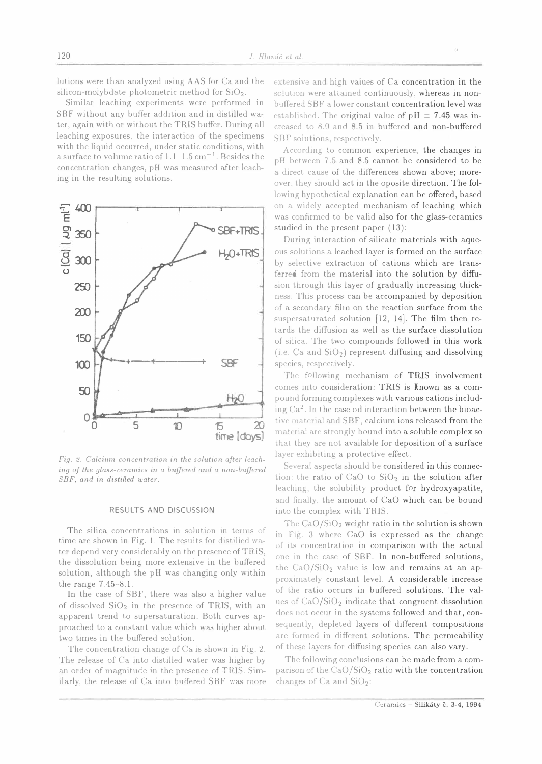lutions were than analyzed using AAS for Ca and the silicon-molybdate photometric method for  $SiO<sub>2</sub>$ .

Similar leaching experiments were performed in SBF without any buffer addition and in distilled water, again with or without the TRIS buffer. During all leaching exposures, the interaction of the specimens with the liquid occurred, under static conditions, with a surface to volume ratio of 1.1-1.5 cm<sup>-1</sup>. Besides the concentration changes, pH was measured after leaching in the resulting solutions.



*Fig. 2. Calcium concentration in the solution after leach*ing of the glass-ceramics in a buffered and a non-buffered *SBF, and in distilled water.* 

### RESULTS AND D!SCUSSJON

The silica concentrations in solution in terms of time are shown in Fig. 1. The results for distilled water depend very considerably on the presence of TRIS, the dissolution being more extensive in the buffered solution, although the pH was changing only within the range 7.45-8.1.

In the case of SBF, there was also a higher value of dissolved  $SiO<sub>2</sub>$  in the presence of TRIS, with an apparent trend to supersaturation. Both curves approached to a constant value which was higher about two times in the buffered solution.

The concentration change of Ca is shown in Fig. 2. The release of Ca into distilled water was higher by an order of magnitude in the presence of TRIS. Similarly, the release of Ca into buffered SBF was more extensive and high values of Ca concentration in the solution were attained continuously, whereas in nonbuffered SBF a lower constant concentration level was established. The original value of  $pH = 7.45$  was increased to 8.0 and 8.5 in buffered and non-buffered SBF solutions, respectively.

According to common experience, the changes in pH between 7.5 and 8.5 cannot be considered to be a direct cause of the differences shown above; moreover, they should act in the oposite direction. The following hypothetical explanation can be offered, based on a widely accepted mechanism of leaching which was confirmed to be valid also for the glass-ceramics studied in the present paper  $(13)$ :

During interaction of silicate materials with aqueous solutions a leached layer is fprmed on the surface by selective extraction of cations which are transferred from the material into the solution by diffusion through this layer of gradually increasing thickness. This process can be accompanied by deposition of a secondary film on the reaction surface from the suspersaturated solution [12, 14]. The film then retards the diffusion as well as the surface dissolution of silica. The two compounds followed in this work (i.e. Ca and  $SiO<sub>2</sub>$ ) represent diffusing and dissolving species, respectively.

The following mechanism of TRIS involvement comes into consideration: TRIS is Known as a compound forming complexes with various cations including  $Ca<sup>2</sup>$ . In the case od interaction between the bioactive material and SBF, calcium ions released from the material are strongly bound into a soluble complex so that they are not available for deposition of a surface layer exhibiting a protective effect.

Several aspects should be considered in this connection: the ratio of CaO to  $SiO<sub>2</sub>$  in the solution after leaching, the solubility product for hydroxyapatite, and finally, the amount of CaO which can be bound into the complex with TRIS.

The  $CaO/SiO<sub>2</sub>$  weight ratio in the solution is shown in Fig. 3 where CaO is expressed as the change of its concentration in comparison with the actual one in the case of SBF. In non-buffered solutions, the  $CaO/SiO<sub>2</sub>$  value is low and remains at an approximately constant level. A considerable increase of the ratio occurs in buffered solutions. The values of  $CaO/SiO<sub>2</sub>$  indicate that congruent dissolution does not occur in the systems followed and that, consequently, depleted layers of different compositions are formed in different solutions. The permeability of these layers for diffusing species can also vary.

The following conclusions can be made from a comparison of the  $CaO/SiO<sub>2</sub>$  ratio with the concentration changes of Ca and  $SiO<sub>2</sub>$ :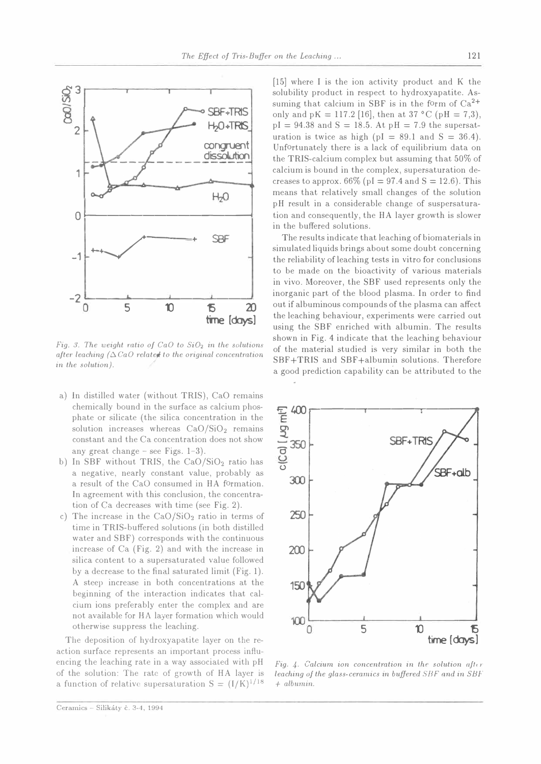

Fig. 3. The weight ratio of CaO to  $SiO<sub>2</sub>$  in the solutions after leaching  $(\Delta CaO$  related to the original concentration in the solution).

- a) In distilled water (without TRIS), CaO remains chemically bound in the surface as calcium phosphate or silicate (the silica concentration in the solution increases whereas  $CaO/SiO<sub>2</sub>$  remains constant and the Ca concentration does not show any great change – see Figs.  $1-3$ ).
- b) In SBF without TRIS, the CaO/SiO<sub>2</sub> ratio has a negative, nearly constant value, probably as a result of the CaO consumed in HA formation. In agreement with this conclusion, the concentration of Ca decreases with time (see Fig. 2).
- c) The increase in the  $CaO/SiO<sub>2</sub>$  ratio in terms of time in TRIS-buffered solutions (in both distilled water and SBF) corresponds with the continuous increase of Ca (Fig. 2) and with the increase in silica content to a supersaturated value followed by a decrease to the final saturated limit (Fig. 1). A steep increase in both concentrations at the beginning of the interaction indicates that calcium ions preferably enter the complex and are not available for HA layer formation which would otherwise suppress the leaching.

The deposition of hydroxyapatite layer on the reaction surface represents an important process influencing the leaching rate in a way associated with pH of the solution: The rate of growth of HA layer is a function of relative supersaturation  $S = (I/K)^{1/18}$ 

[15] where I is the ion activity product and K the solubility product in respect to hydroxyapatite. Assuming that calcium in SBF is in the form of  $Ca^{2+}$ only and pK = 117.2 [16], then at 37 °C (pH = 7,3),  $pI = 94.38$  and S = 18.5. At  $pH = 7.9$  the supersaturation is twice as high ( $pI = 89.1$  and  $S = 36.4$ ). Unfortunately there is a lack of equilibrium data on the TRIS-calcium complex but assuming that 50% of calcium is bound in the complex, supersaturation decreases to approx.  $66\%$  (pI = 97.4 and S = 12.6). This means that relatively small changes of the solution pH result in a considerable change of suspersaturation and consequently, the HA layer growth is slower in the buffered solutions.

The results indicate that leaching of biomaterials in simulated liquids brings about some doubt concerning the reliability of leaching tests in vitro for conclusions to be made on the bioactivity of various materials in vivo. Moreover, the SBF used represents only the inorganic part of the blood plasma. In order to find out if albuminous compounds of the plasma can affect the leaching behaviour, experiments were carried out using the SBF enriched with albumin. The results shown in Fig. 4 indicate that the leaching behaviour of the material studied is very similar in both the SBF+TRIS and SBF+albumin solutions. Therefore a good prediction capability can be attributed to the



Fig. 4. Calcium ion concentration in the solution after leaching of the glass-ceramics in buffered SBF and in SBF  $+$  albumin.